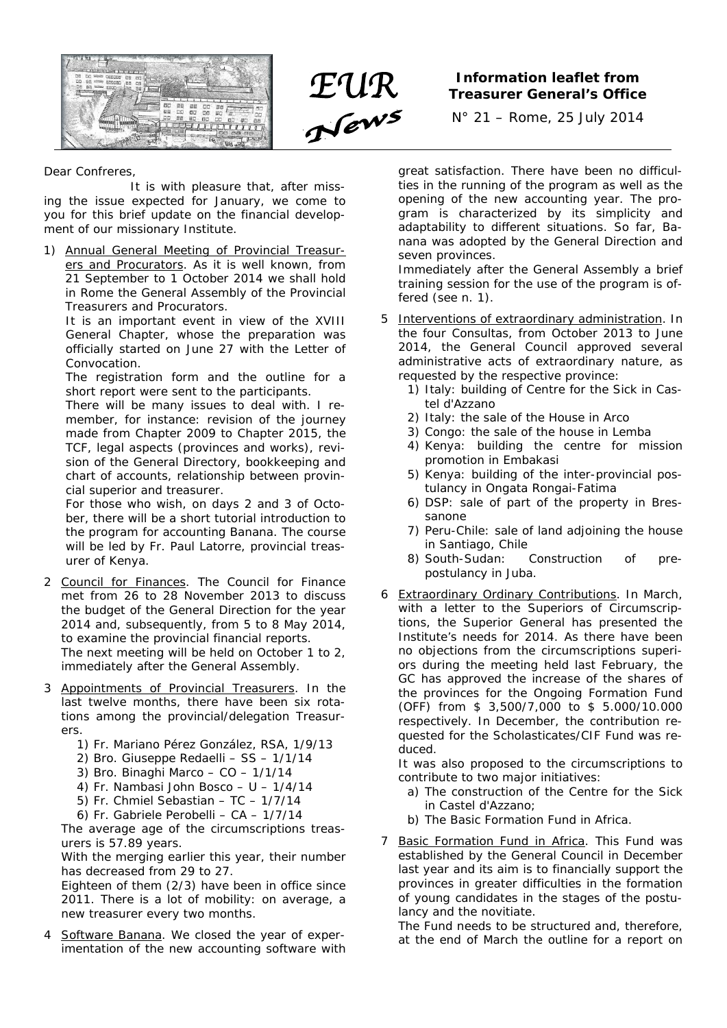



## **Treasurer General's Office**

N° 21 – Rome, 25 July 2014

## Dear Confreres,

 It is with pleasure that, after missing the issue expected for January, we come to you for this brief update on the financial development of our missionary Institute.

1) Annual General Meeting of Provincial Treasurers and Procurators. As it is well known, from 21 September to 1 October 2014 we shall hold in Rome the General Assembly of the Provincial Treasurers and Procurators.

It is an important event in view of the XVIII General Chapter, whose the preparation was officially started on June 27 with the Letter of Convocation.

The registration form and the outline for a short report were sent to the participants.

There will be many issues to deal with. I remember, for instance: revision of the journey made from Chapter 2009 to Chapter 2015, the TCF, legal aspects (provinces and works), revision of the General Directory, bookkeeping and chart of accounts, relationship between provincial superior and treasurer.

For those who wish, on days 2 and 3 of October, there will be a short tutorial introduction to the program for accounting *Banana*. The course will be led by Fr. Paul Latorre, provincial treasurer of Kenya.

- 2 Council for Finances. The Council for Finance met from 26 to 28 November 2013 to discuss the budget of the General Direction for the year 2014 and, subsequently, from 5 to 8 May 2014, to examine the provincial financial reports. The next meeting will be held on October 1 to 2, immediately after the General Assembly.
- 3 Appointments of Provincial Treasurers. In the last twelve months, there have been six rotations among the provincial/delegation Treasurers.
	- 1) Fr. Mariano Pérez González, RSA, 1/9/13
	- 2) Bro. Giuseppe Redaelli SS 1/1/14
	- 3) Bro. Binaghi Marco CO 1/1/14
	- 4) Fr. Nambasi John Bosco U 1/4/14
	- 5) Fr. Chmiel Sebastian TC 1/7/14
	- 6) Fr. Gabriele Perobelli CA 1/7/14

The average age of the circumscriptions treasurers is 57.89 years.

With the merging earlier this year, their number has decreased from 29 to 27.

Eighteen of them (2/3) have been in office since 2011. There is a lot of mobility: on average, a new treasurer every two months.

Software *Banana*. We closed the year of experimentation of the new accounting software with great satisfaction. There have been no difficulties in the running of the program as well as the opening of the new accounting year. The program is characterized by its simplicity and adaptability to different situations. So far, *Banana* was adopted by the General Direction and seven provinces.

Immediately after the General Assembly a brief training session for the use of the program is offered (see n. 1).

- 5 Interventions of extraordinary administration. In the four Consultas, from October 2013 to June 2014, the General Council approved several administrative acts of extraordinary nature, as requested by the respective province:
	- 1) Italy: building of Centre for the Sick in Castel d'Azzano
	- 2) Italy: the sale of the House in Arco
	- 3) Congo: the sale of the house in Lemba
	- 4) Kenya: building the centre for mission promotion in Embakasi
	- 5) Kenya: building of the inter-provincial postulancy in Ongata Rongai-Fatima
	- 6) DSP: sale of part of the property in Bressanone
	- 7) Peru-Chile: sale of land adjoining the house in Santiago, Chile
	- 8) South-Sudan: Construction of prepostulancy in Juba.
- 6 Extraordinary Ordinary Contributions. In March, with a letter to the Superiors of Circumscriptions, the Superior General has presented the Institute's needs for 2014. As there have been no objections from the circumscriptions superiors during the meeting held last February, the GC has approved the increase of the shares of the provinces for the Ongoing Formation Fund (OFF) from \$ 3,500/7,000 to \$ 5.000/10.000 respectively. In December, the contribution requested for the Scholasticates/CIF Fund was reduced.

It was also proposed to the circumscriptions to contribute to two major initiatives:

- a) The construction of the Centre for the Sick in Castel d'Azzano;
- b) The Basic Formation Fund in Africa.
- 7 Basic Formation Fund in Africa. This Fund was established by the General Council in December last year and its aim is to financially support the provinces in greater difficulties in the formation of young candidates in the stages of the postulancy and the novitiate.

The Fund needs to be structured and, therefore, at the end of March the outline for a report on